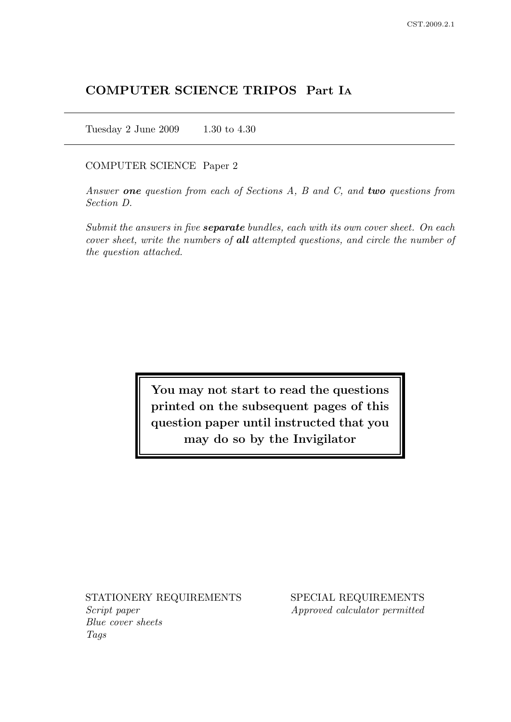## COMPUTER SCIENCE TRIPOS Part I<sup>A</sup>

Tuesday 2 June 2009 1.30 to 4.30

### COMPUTER SCIENCE Paper 2

Answer one question from each of Sections A, B and C, and two questions from Section D.

Submit the answers in five **separate** bundles, each with its own cover sheet. On each cover sheet, write the numbers of all attempted questions, and circle the number of the question attached.

> You may not start to read the questions printed on the subsequent pages of this question paper until instructed that you may do so by the Invigilator

Script paper Approved calculator permitted Blue cover sheets Tags

STATIONERY REQUIREMENTS SPECIAL REQUIREMENTS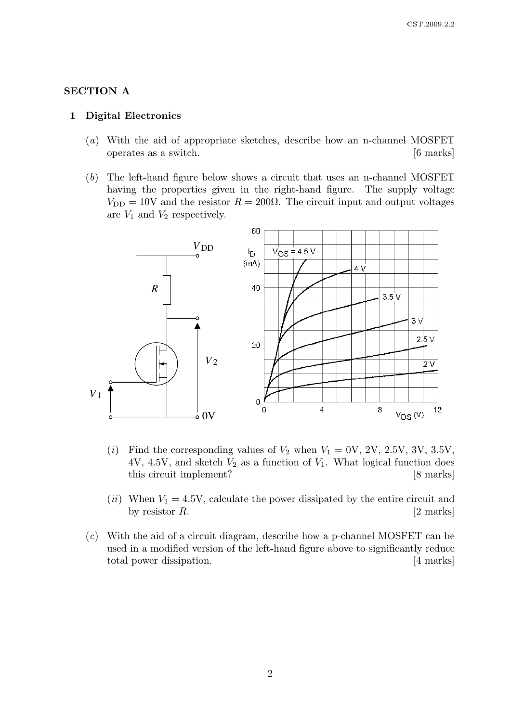## SECTION A

#### 1 Digital Electronics

- (a) With the aid of appropriate sketches, describe how an n-channel MOSFET operates as a switch. [6 marks]
- (b) The left-hand figure below shows a circuit that uses an n-channel MOSFET having the properties given in the right-hand figure. The supply voltage  $V_{\text{DD}} = 10$ V and the resistor  $R = 200\Omega$ . The circuit input and output voltages are  $V_1$  and  $V_2$  respectively.



- (i) Find the corresponding values of  $V_2$  when  $V_1 = 0V$ , 2V, 2.5V, 3V, 3.5V, 4V, 4.5V, and sketch  $V_2$  as a function of  $V_1$ . What logical function does this circuit implement? [8 marks]
- (*ii*) When  $V_1 = 4.5V$ , calculate the power dissipated by the entire circuit and by resistor  $R$ . [2 marks]
- (c) With the aid of a circuit diagram, describe how a p-channel MOSFET can be used in a modified version of the left-hand figure above to significantly reduce total power dissipation. [4 marks]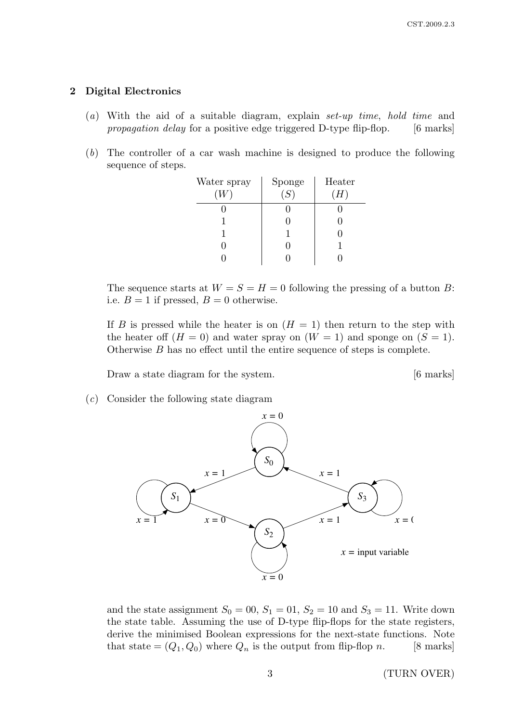## 2 Digital Electronics

- (a) With the aid of a suitable diagram, explain set-up time, hold time and propagation delay for a positive edge triggered D-type flip-flop. [6 marks]
- (b) The controller of a car wash machine is designed to produce the following sequence of steps.

| Water spray | Sponge | Heater |
|-------------|--------|--------|
|             | (S)    | $H$ ,  |
|             |        |        |
|             |        |        |
|             |        |        |
|             |        |        |
|             |        |        |

The sequence starts at  $W = S = H = 0$  following the pressing of a button B: i.e.  $B = 1$  if pressed,  $B = 0$  otherwise.

If B is pressed while the heater is on  $(H = 1)$  then return to the step with the heater off  $(H = 0)$  and water spray on  $(W = 1)$  and sponge on  $(S = 1)$ . Otherwise B has no effect until the entire sequence of steps is complete.

Draw a state diagram for the system. [6 marks]

(c) Consider the following state diagram



and the state assignment  $S_0 = 00$ ,  $S_1 = 01$ ,  $S_2 = 10$  and  $S_3 = 11$ . Write down the state table. Assuming the use of D-type flip-flops for the state registers, derive the minimised Boolean expressions for the next-state functions. Note that state  $=(Q_1, Q_0)$  where  $Q_n$  is the output from flip-flop n. [8 marks]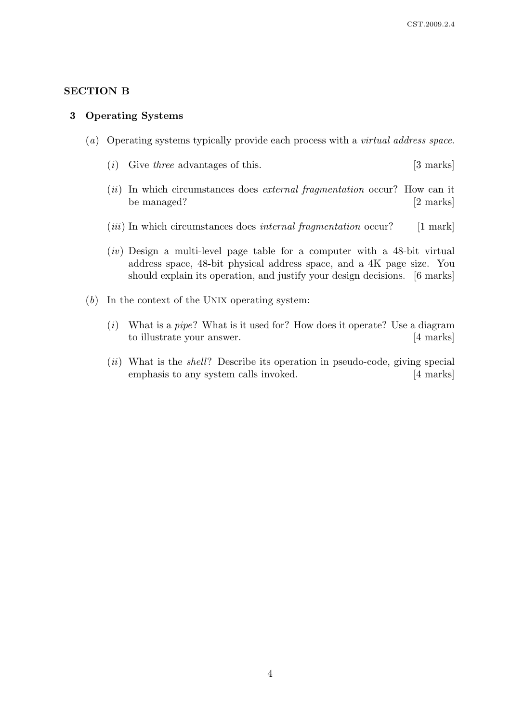## SECTION B

#### 3 Operating Systems

- (a) Operating systems typically provide each process with a virtual address space.
	- (i) Give three advantages of this.  $[3 \text{ marks}]$
	- $(ii)$  In which circumstances does *external fragmentation* occur? How can it be managed? [2 marks]
	- $(iii)$  In which circumstances does *internal fragmentation* occur? [1 mark]
	- $(iv)$  Design a multi-level page table for a computer with a 48-bit virtual address space, 48-bit physical address space, and a 4K page size. You should explain its operation, and justify your design decisions. [6 marks]
- (b) In the context of the UNIX operating system:
	- (i) What is a pipe? What is it used for? How does it operate? Use a diagram to illustrate your answer. [4 marks]
	- $(ii)$  What is the *shell*? Describe its operation in pseudo-code, giving special emphasis to any system calls invoked. [4 marks]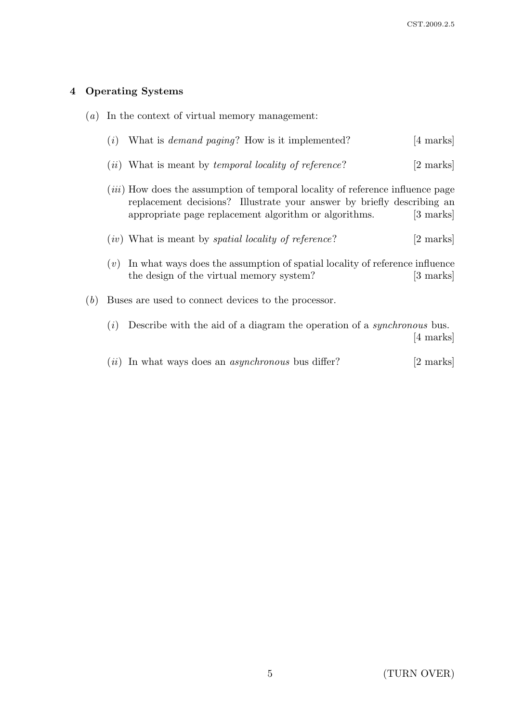# 4 Operating Systems

| (a) | In the context of virtual memory management: |                                                                                                                                                                                                                          |                     |  |
|-----|----------------------------------------------|--------------------------------------------------------------------------------------------------------------------------------------------------------------------------------------------------------------------------|---------------------|--|
|     | (i)                                          | What is <i>demand paging</i> ? How is it implemented?                                                                                                                                                                    | $[4 \text{ marks}]$ |  |
|     | (ii)                                         | What is meant by <i>temporal locality of reference</i> ?                                                                                                                                                                 | [2 marks]           |  |
|     |                                              | <i>(iii)</i> How does the assumption of temporal locality of reference influence page<br>replacement decisions? Illustrate your answer by briefly describing an<br>appropriate page replacement algorithm or algorithms. | [3 marks]           |  |
|     |                                              | $(iv)$ What is meant by <i>spatial locality of reference</i> ?                                                                                                                                                           | [2 marks]           |  |
|     | (v)                                          | In what ways does the assumption of spatial locality of reference influence<br>the design of the virtual memory system?                                                                                                  | [3 marks]           |  |
| (b) |                                              | Buses are used to connect devices to the processor.                                                                                                                                                                      |                     |  |
|     | (i)                                          | Describe with the aid of a diagram the operation of a <i>synchronous</i> bus.                                                                                                                                            | [4 marks]           |  |
|     | $\lceil u \rceil$                            | In what ways does an <i>asynchronous</i> bus differ?                                                                                                                                                                     | 2 marks             |  |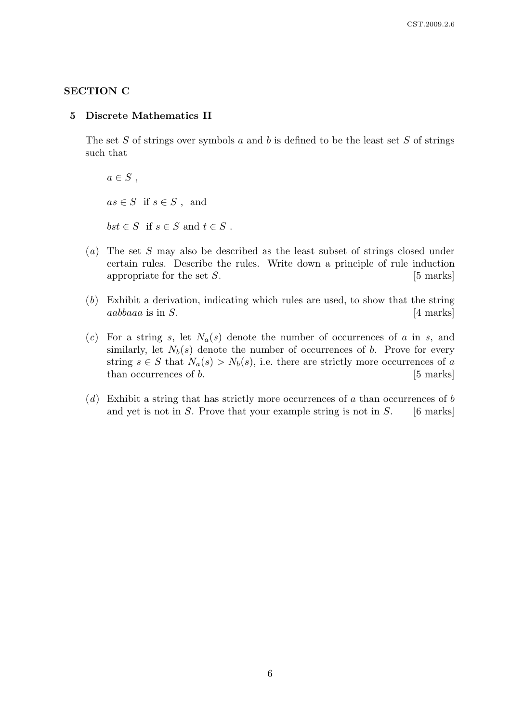## SECTION C

#### 5 Discrete Mathematics II

The set  $S$  of strings over symbols  $a$  and  $b$  is defined to be the least set  $S$  of strings such that

 $a \in S$ ,  $as \in S$  if  $s \in S$ , and  $bst \in S$  if  $s \in S$  and  $t \in S$ .

- (a) The set S may also be described as the least subset of strings closed under certain rules. Describe the rules. Write down a principle of rule induction appropriate for the set  $S$ . [5 marks]
- (b) Exhibit a derivation, indicating which rules are used, to show that the string  $aabbaaa$  is in S.  $[4 \text{ marks}]$
- (c) For a string s, let  $N_a(s)$  denote the number of occurrences of a in s, and similarly, let  $N_b(s)$  denote the number of occurrences of b. Prove for every string  $s \in S$  that  $N_a(s) > N_b(s)$ , i.e. there are strictly more occurrences of a than occurrences of  $b$ . [5 marks]
- $(d)$  Exhibit a string that has strictly more occurrences of a than occurrences of b and yet is not in  $S$ . Prove that your example string is not in  $S$ . [6 marks]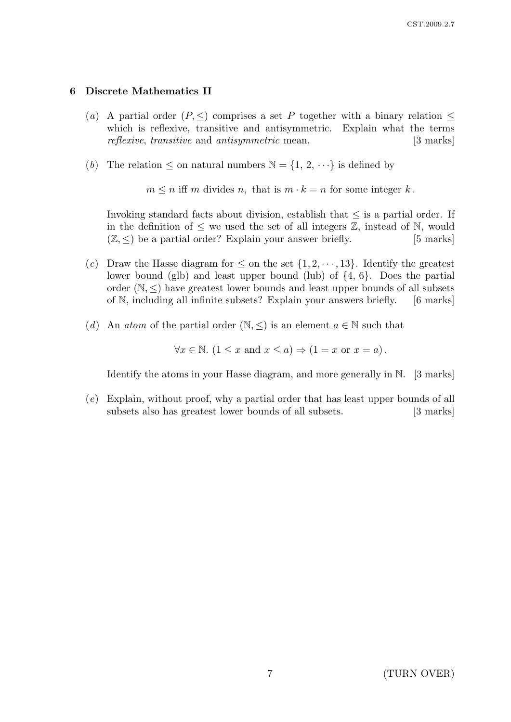#### 6 Discrete Mathematics II

- (a) A partial order  $(P, \leq)$  comprises a set P together with a binary relation  $\leq$ which is reflexive, transitive and antisymmetric. Explain what the terms reflexive, transitive and antisymmetric mean. [3 marks]
- (b) The relation  $\leq$  on natural numbers  $\mathbb{N} = \{1, 2, \dots\}$  is defined by

 $m \leq n$  iff m divides n, that is  $m \cdot k = n$  for some integer k.

Invoking standard facts about division, establish that  $\leq$  is a partial order. If in the definition of  $\leq$  we used the set of all integers  $\mathbb{Z}$ , instead of N, would  $(\mathbb{Z}, \leq)$  be a partial order? Explain your answer briefly. [5 marks]

- (c) Draw the Hasse diagram for  $\leq$  on the set  $\{1, 2, \dots, 13\}$ . Identify the greatest lower bound (glb) and least upper bound (lub) of {4, 6}. Does the partial order  $(N, \leq)$  have greatest lower bounds and least upper bounds of all subsets of N, including all infinite subsets? Explain your answers briefly. [6 marks]
- (d) An atom of the partial order  $(\mathbb{N}, \leq)$  is an element  $a \in \mathbb{N}$  such that

 $\forall x \in \mathbb{N}.$   $(1 \leq x \text{ and } x \leq a) \Rightarrow (1 = x \text{ or } x = a).$ 

Identify the atoms in your Hasse diagram, and more generally in N. [3 marks]

(e) Explain, without proof, why a partial order that has least upper bounds of all subsets also has greatest lower bounds of all subsets. [3 marks]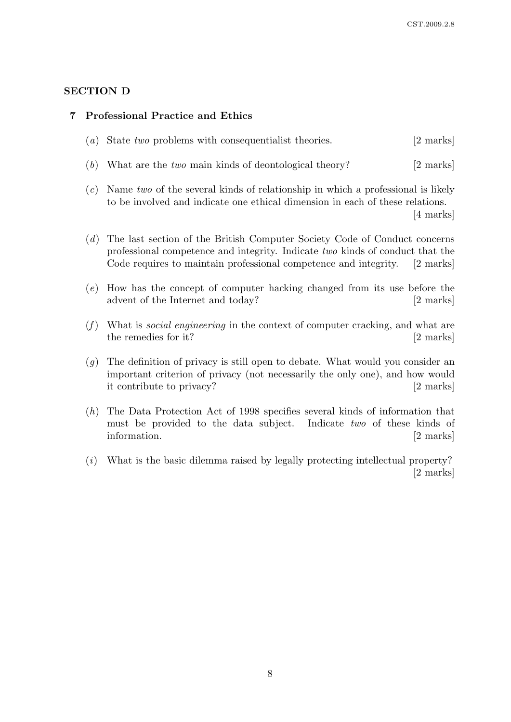## SECTION D

#### 7 Professional Practice and Ethics

- (a) State two problems with consequentialist theories. [2 marks]
- (b) What are the two main kinds of deontological theory? [2 marks]
- $(c)$  Name two of the several kinds of relationship in which a professional is likely to be involved and indicate one ethical dimension in each of these relations.

[4 marks]

- (d) The last section of the British Computer Society Code of Conduct concerns professional competence and integrity. Indicate two kinds of conduct that the Code requires to maintain professional competence and integrity. [2 marks]
- (e) How has the concept of computer hacking changed from its use before the advent of the Internet and today? [2 marks]
- $(f)$  What is *social engineering* in the context of computer cracking, and what are the remedies for it? [2 marks]
- (g) The definition of privacy is still open to debate. What would you consider an important criterion of privacy (not necessarily the only one), and how would it contribute to privacy? [2 marks]
- (h) The Data Protection Act of 1998 specifies several kinds of information that must be provided to the data subject. Indicate two of these kinds of information. [2 marks]
- (i) What is the basic dilemma raised by legally protecting intellectual property? [2 marks]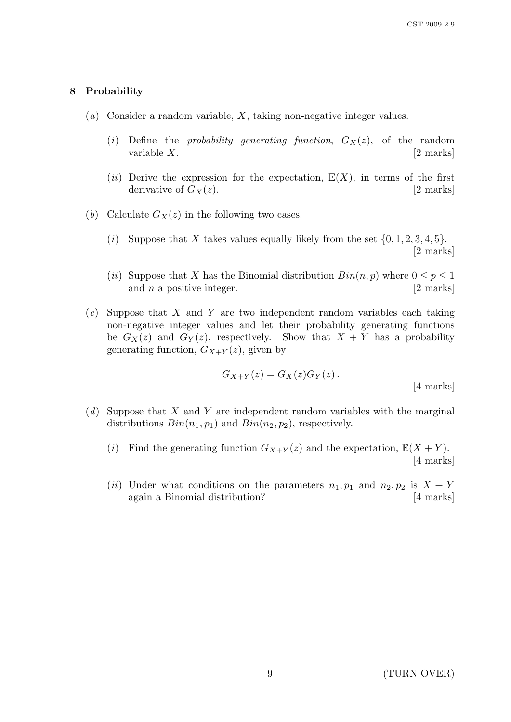## 8 Probability

- $(a)$  Consider a random variable, X, taking non-negative integer values.
	- (i) Define the *probability generating function*,  $G_X(z)$ , of the random variable  $X$ . [2 marks]
	- (ii) Derive the expression for the expectation,  $\mathbb{E}(X)$ , in terms of the first derivative of  $G_X(z)$ . [2 marks]
- (b) Calculate  $G_X(z)$  in the following two cases.
	- (i) Suppose that X takes values equally likely from the set  $\{0, 1, 2, 3, 4, 5\}.$ [2 marks]
	- (ii) Suppose that X has the Binomial distribution  $Bin(n, p)$  where  $0 \leq p \leq 1$ and  $n$  a positive integer.  $[2 \text{ marks}]$
- $(c)$  Suppose that X and Y are two independent random variables each taking non-negative integer values and let their probability generating functions be  $G_X(z)$  and  $G_Y(z)$ , respectively. Show that  $X + Y$  has a probability generating function,  $G_{X+Y}(z)$ , given by

$$
G_{X+Y}(z) = G_X(z)G_Y(z).
$$
 [4 marks]

- $(d)$  Suppose that X and Y are independent random variables with the marginal distributions  $Bin(n_1, p_1)$  and  $Bin(n_2, p_2)$ , respectively.
	- (i) Find the generating function  $G_{X+Y}(z)$  and the expectation,  $\mathbb{E}(X+Y)$ . [4 marks]
	- (ii) Under what conditions on the parameters  $n_1, p_1$  and  $n_2, p_2$  is  $X + Y$ again a Binomial distribution? [4 marks]